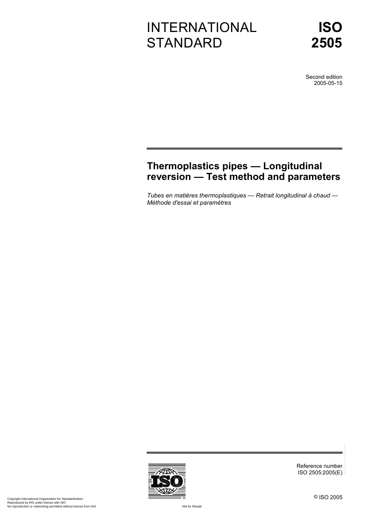# INTERNATIONAL **STANDARD**

Second edition 2005-05-15

# **Thermoplastics pipes — Longitudinal reversion — Test method and parameters**

*Tubes en matières thermoplastiques — Retrait longitudinal à chaud — Méthode d'essai et paramètres* 

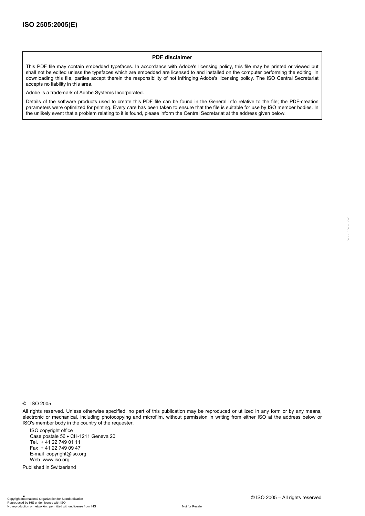#### **PDF disclaimer**

This PDF file may contain embedded typefaces. In accordance with Adobe's licensing policy, this file may be printed or viewed but shall not be edited unless the typefaces which are embedded are licensed to and installed on the computer performing the editing. In downloading this file, parties accept therein the responsibility of not infringing Adobe's licensing policy. The ISO Central Secretariat accepts no liability in this area.

Adobe is a trademark of Adobe Systems Incorporated.

Details of the software products used to create this PDF file can be found in the General Info relative to the file; the PDF-creation parameters were optimized for printing. Every care has been taken to ensure that the file is suitable for use by ISO member bodies. In the unlikely event that a problem relating to it is found, please inform the Central Secretariat at the address given below.

All rights reserved. Unless otherwise specified, no part of this publication may be reproduced or utilized in any form or by any means, electronic or mechanical, including photocopying and microfilm, without permission in writing from either ISO at the address below or ISO's member body in the country of the requester.

ISO copyright office Case postale 56 • CH-1211 Geneva 20 Tel. + 41 22 749 01 11 Fax + 41 22 749 09 47 E-mail copyright@iso.org Web www.iso.org

Published in Switzerland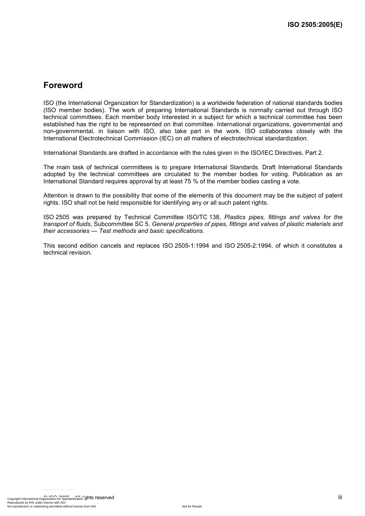## **Foreword**

ISO (the International Organization for Standardization) is a worldwide federation of national standards bodies (ISO member bodies). The work of preparing International Standards is normally carried out through ISO technical committees. Each member body interested in a subject for which a technical committee has been established has the right to be represented on that committee. International organizations, governmental and non-governmental, in liaison with ISO, also take part in the work. ISO collaborates closely with the International Electrotechnical Commission (IEC) on all matters of electrotechnical standardization.

International Standards are drafted in accordance with the rules given in the ISO/IEC Directives, Part 2.

The main task of technical committees is to prepare International Standards. Draft International Standards adopted by the technical committees are circulated to the member bodies for voting. Publication as an International Standard requires approval by at least 75 % of the member bodies casting a vote.

Attention is drawn to the possibility that some of the elements of this document may be the subject of patent rights. ISO shall not be held responsible for identifying any or all such patent rights.

ISO 2505 was prepared by Technical Committee ISO/TC 138, *Plastics pipes, fittings and valves for the transport of fluids*, Subcommittee SC 5, *General properties of pipes, fittings and valves of plastic materials and their accessories — Test methods and basic specifications*.

This second edition cancels and replaces ISO 2505-1:1994 and ISO 2505-2:1994, of which it constitutes a technical revision.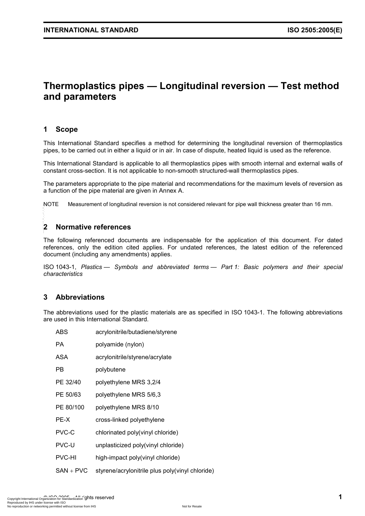## **Thermoplastics pipes — Longitudinal reversion — Test method and parameters**

#### **1 Scope**

This International Standard specifies a method for determining the longitudinal reversion of thermoplastics pipes, to be carried out in either a liquid or in air. In case of dispute, heated liquid is used as the reference.

This International Standard is applicable to all thermoplastics pipes with smooth internal and external walls of constant cross-section. It is not applicable to non-smooth structured-wall thermoplastics pipes.

The parameters appropriate to the pipe material and recommendations for the maximum levels of reversion as a function of the pipe material are given in Annex A.

NOTE Measurement of longitudinal reversion is not considered relevant for pipe wall thickness greater than 16 mm.

# **2 Normative references**  --`,,`,`,-`-`,,`,,`,`,,`---

The following referenced documents are indispensable for the application of this document. For dated references, only the edition cited applies. For undated references, the latest edition of the referenced document (including any amendments) applies.

ISO 1043-1, *Plastics — Symbols and abbreviated terms — Part 1: Basic polymers and their special characteristics* 

### **3 Abbreviations**

The abbreviations used for the plastic materials are as specified in ISO 1043-1. The following abbreviations are used in this International Standard.

| ABS           | acrylonitrile/butadiene/styrene                 |
|---------------|-------------------------------------------------|
| PА            | polyamide (nylon)                               |
| ASA           | acrylonitrile/styrene/acrylate                  |
| РB            | polybutene                                      |
| PE 32/40      | polyethylene MRS 3,2/4                          |
| PE 50/63      | polyethylene MRS 5/6,3                          |
| PE 80/100     | polyethylene MRS 8/10                           |
| PE-X          | cross-linked polyethylene                       |
| PVC-C         | chlorinated poly(vinyl chloride)                |
| PVC-U         | unplasticized poly(vinyl chloride)              |
| <b>PVC-HI</b> | high-impact poly(vinyl chloride)                |
| $SAN + PVC$   | styrene/acrylonitrile plus poly(vinyl chloride) |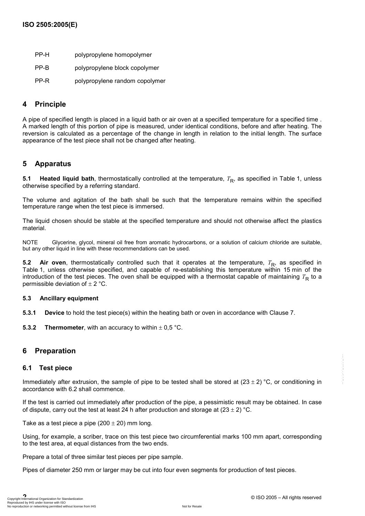- PP-H polypropylene homopolymer
- PP-B polypropylene block copolymer
- PP-R polypropylene random copolymer

#### **4 Principle**

A pipe of specified length is placed in a liquid bath or air oven at a specified temperature for a specified time . A marked length of this portion of pipe is measured, under identical conditions, before and after heating. The reversion is calculated as a percentage of the change in length in relation to the initial length. The surface appearance of the test piece shall not be changed after heating.

### **5 Apparatus**

**5.1 Heated liquid bath**, thermostatically controlled at the temperature,  $T<sub>R</sub>$ , as specified in Table 1, unless otherwise specified by a referring standard.

The volume and agitation of the bath shall be such that the temperature remains within the specified temperature range when the test piece is immersed.

The liquid chosen should be stable at the specified temperature and should not otherwise affect the plastics material.

NOTE Glycerine, glycol, mineral oil free from aromatic hydrocarbons, or a solution of calcium chloride are suitable, but any other liquid in line with these recommendations can be used.

**5.2 Air oven**, thermostatically controlled such that it operates at the temperature,  $T_R$ , as specified in Table 1, unless otherwise specified, and capable of re-establishing this temperature within 15 min of the introduction of the test pieces. The oven shall be equipped with a thermostat capable of maintaining  $T_R$  to a permissible deviation of  $\pm$  2 °C.

#### **5.3 Ancillary equipment**

**5.3.1 Device** to hold the test piece(s) within the heating bath or oven in accordance with Clause 7.

**5.3.2 Thermometer**, with an accuracy to within  $\pm$  0,5 °C.

### **6 Preparation**

#### **6.1 Test piece**

Immediately after extrusion, the sample of pipe to be tested shall be stored at  $(23 \pm 2)$  °C, or conditioning in accordance with 6.2 shall commence.

If the test is carried out immediately after production of the pipe, a pessimistic result may be obtained. In case of dispute, carry out the test at least 24 h after production and storage at  $(23 \pm 2)$  °C.

Take as a test piece a pipe  $(200 \pm 20)$  mm long.

Using, for example, a scriber, trace on this test piece two circumferential marks 100 mm apart, corresponding to the test area, at equal distances from the two ends.

Prepare a total of three similar test pieces per pipe sample.

Pipes of diameter 250 mm or larger may be cut into four even segments for production of test pieces.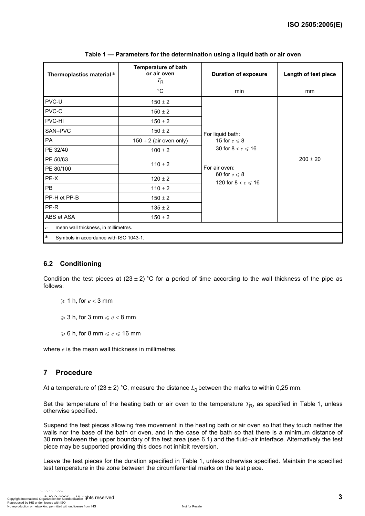| Thermoplastics material <sup>a</sup>                     | <b>Temperature of bath</b><br>or air oven<br>$T_{\mathsf{R}}$ | <b>Duration of exposure</b>                                                                                                              | Length of test piece |  |  |
|----------------------------------------------------------|---------------------------------------------------------------|------------------------------------------------------------------------------------------------------------------------------------------|----------------------|--|--|
|                                                          | $^{\circ}$ C                                                  | min                                                                                                                                      | mm                   |  |  |
| PVC-U                                                    | $150 \pm 2$                                                   | For liquid bath:<br>15 for $e \le 8$<br>30 for $8 < e \leqslant 16$<br>For air oven:<br>60 for $e \le 8$<br>120 for $8 < e \leqslant 16$ | $200 \pm 20$         |  |  |
| PVC-C                                                    | $150 \pm 2$                                                   |                                                                                                                                          |                      |  |  |
| PVC-HI                                                   | $150 \pm 2$                                                   |                                                                                                                                          |                      |  |  |
| SAN+PVC                                                  | $150 \pm 2$                                                   |                                                                                                                                          |                      |  |  |
| PA                                                       | $150 + 2$ (air oven only)                                     |                                                                                                                                          |                      |  |  |
| PE 32/40                                                 | $100 \pm 2$                                                   |                                                                                                                                          |                      |  |  |
| PE 50/63                                                 | $110 \pm 2$                                                   |                                                                                                                                          |                      |  |  |
| PE 80/100                                                |                                                               |                                                                                                                                          |                      |  |  |
| PE-X                                                     | $120 \pm 2$                                                   |                                                                                                                                          |                      |  |  |
| <b>PB</b>                                                | $110 \pm 2$                                                   |                                                                                                                                          |                      |  |  |
| PP-H et PP-B                                             | $150 \pm 2$                                                   |                                                                                                                                          |                      |  |  |
| PP-R                                                     | $135 \pm 2$                                                   |                                                                                                                                          |                      |  |  |
| ABS et ASA                                               | $150 \pm 2$                                                   |                                                                                                                                          |                      |  |  |
| mean wall thickness, in millimetres.<br>$\boldsymbol{e}$ |                                                               |                                                                                                                                          |                      |  |  |
| a<br>Symbols in accordance with ISO 1043-1.              |                                                               |                                                                                                                                          |                      |  |  |

**Table 1 — Parameters for the determination using a liquid bath or air oven** 

### **6.2 Conditioning**

Condition the test pieces at  $(23 \pm 2)$  °C for a period of time according to the wall thickness of the pipe as follows:

 $\geqslant$  1 h, for *e* < 3 mm

 $\geqslant$  3 h, for 3 mm  $\leqslant e$  < 8 mm

 $\geqslant$  6 h, for 8 mm  $\leqslant e \leqslant 16$  mm

where *e* is the mean wall thickness in millimetres.

### **7 Procedure**

At a temperature of  $(23 \pm 2)$  °C, measure the distance  $L_0$  between the marks to within 0,25 mm.

Set the temperature of the heating bath or air oven to the temperature  $T_{\rm R}$ , as specified in Table 1, unless otherwise specified.

Suspend the test pieces allowing free movement in the heating bath or air oven so that they touch neither the walls nor the base of the bath or oven, and in the case of the bath so that there is a minimum distance of 30 mm between the upper boundary of the test area (see 6.1) and the fluid–air interface. Alternatively the test piece may be supported providing this does not inhibit reversion.

Leave the test pieces for the duration specified in Table 1, unless otherwise specified. Maintain the specified test temperature in the zone between the circumferential marks on the test piece.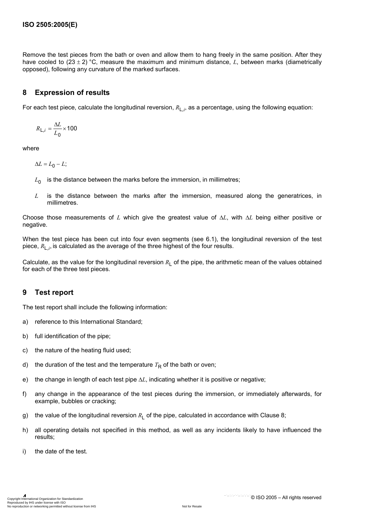Remove the test pieces from the bath or oven and allow them to hang freely in the same position. After they have cooled to (23 ± 2) °C, measure the maximum and minimum distance, *L*, between marks (diametrically opposed), following any curvature of the marked surfaces.

### **8 Expression of results**

For each test piece, calculate the longitudinal reversion,  $R_{L,i}$ , as a percentage, using the following equation:

$$
R_{L,i} = \frac{\Delta L}{L_0} \times 100
$$

where

$$
\Delta L = L_0 - L;
$$

- $L_0$  is the distance between the marks before the immersion, in millimetres;
- *L* is the distance between the marks after the immersion, measured along the generatrices, in millimetres.

Choose those measurements of *L* which give the greatest value of ∆*L*, with ∆*L* being either positive or negative.

When the test piece has been cut into four even segments (see 6.1), the longitudinal reversion of the test piece, *R*L,*<sup>i</sup>* , is calculated as the average of the three highest of the four results.

Calculate, as the value for the longitudinal reversion  $R_1$  of the pipe, the arithmetic mean of the values obtained for each of the three test pieces.

### **9 Test report**

The test report shall include the following information:

- a) reference to this International Standard;
- b) full identification of the pipe;
- c) the nature of the heating fluid used;
- d) the duration of the test and the temperature  $T<sub>R</sub>$  of the bath or oven;
- e) the change in length of each test pipe ∆*L*, indicating whether it is positive or negative;
- f) any change in the appearance of the test pieces during the immersion, or immediately afterwards, for example, bubbles or cracking;
- g) the value of the longitudinal reversion  $R_1$  of the pipe, calculated in accordance with Clause 8;
- h) all operating details not specified in this method, as well as any incidents likely to have influenced the results;
- i) the date of the test.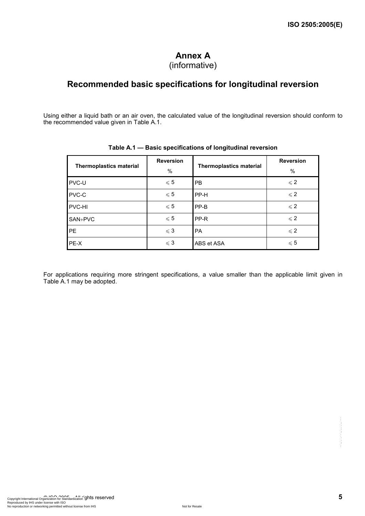# **Annex A**

## (informative)

## **Recommended basic specifications for longitudinal reversion**

Using either a liquid bath or an air oven, the calculated value of the longitudinal reversion should conform to the recommended value given in Table A.1.

| <b>Thermoplastics material</b> | <b>Reversion</b><br>% | <b>Thermoplastics material</b> | <b>Reversion</b><br>$\%$ |
|--------------------------------|-----------------------|--------------------------------|--------------------------|
| PVC-U                          | $\leqslant 5$         | <b>PB</b>                      | $\leqslant$ 2            |
| PVC-C                          | $\leqslant 5$         | PP-H                           | $\leqslant$ 2            |
| PVC-HI                         | $\leqslant 5$         | PP-B                           | $\leqslant$ 2            |
| SAN+PVC                        | $\leqslant 5$         | PP-R                           | $\leqslant$ 2            |
| <b>PE</b>                      | $\leqslant$ 3         | PA                             | $\leqslant$ 2            |
| PE-X                           | $\leqslant$ 3         | ABS et ASA                     | $\leqslant 5$            |

#### **Table A.1 — Basic specifications of longitudinal reversion**

For applications requiring more stringent specifications, a value smaller than the applicable limit given in Table A.1 may be adopted.